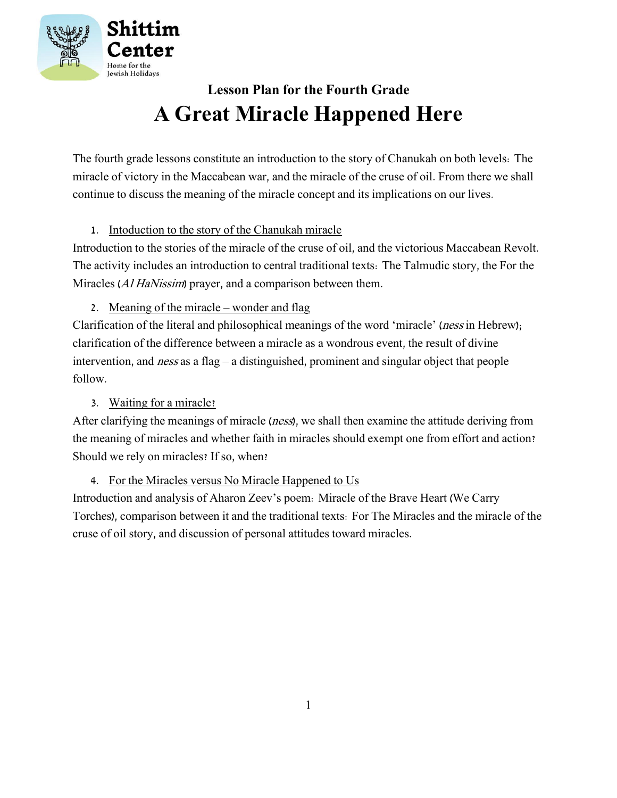

### **Lesson Plan for the Fourth Grade A Great Miracle Happened Here**

The fourth grade lessons constitute an introduction to the story of Chanukah on both levels: The miracle of victory in the Maccabean war, and the miracle of the cruse of oil. From there we shall continue to discuss the meaning of the miracle concept and its implications on our lives.

### 1. Intoduction to the story of the Chanukah miracle

Introduction to the stories of the miracle of the cruse of oil, and the victorious Maccabean Revolt. The activity includes an introduction to central traditional texts: The Talmudic story, the For the Miracles (*Al HaNissim*) prayer, and a comparison between them.

2. Meaning of the miracle – wonder and flag

Clarification of the literal and philosophical meanings of the word 'miracle' (ness in Hebrew); clarification of the difference between a miracle as a wondrous event, the result of divine intervention, and ness as a flag – a distinguished, prominent and singular object that people follow.

### 3. Waiting for a miracle?

After clarifying the meanings of miracle (ness), we shall then examine the attitude deriving from the meaning of miracles and whether faith in miracles should exempt one from effort and action? Should we rely on miracles? If so, when?

4. For the Miracles versus No Miracle Happened to Us

Introduction and analysis of Aharon Zeev's poem: Miracle of the Brave Heart (We Carry Torches), comparison between it and the traditional texts: For The Miracles and the miracle of the cruse of oil story, and discussion of personal attitudes toward miracles.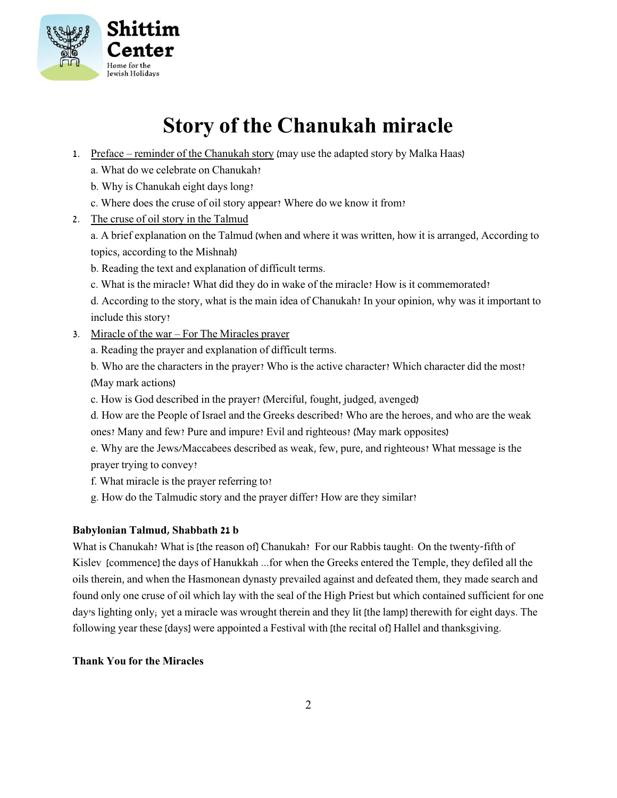

# **Story of the Chanukah miracle**

- 1. Preface reminder of the Chanukah story (may use the adapted story by Malka Haas)
	- a. What do we celebrate on Chanukah?
	- b. Why is Chanukah eight days long?
	- c. Where does the cruse of oil story appear? Where do we know it from?
- 2. The cruse of oil story in the Talmud

a. A brief explanation on the Talmud (when and where it was written, how it is arranged, According to topics, according to the Mishnah)

- b. Reading the text and explanation of difficult terms.
- c. What is the miracle? What did they do in wake of the miracle? How is it commemorated?

d. According to the story, what is the main idea of Chanukah? In your opinion, why was it important to include this story?

- 3. Miracle of the war For The Miracles prayer
	- a. Reading the prayer and explanation of difficult terms.

b. Who are the characters in the prayer? Who is the active character? Which character did the most? (May mark actions)

- c. How is God described in the prayer? (Merciful, fought, judged, avenged)
- d. How are the People of Israel and the Greeks described? Who are the heroes, and who are the weak ones? Many and few? Pure and impure? Evil and righteous? (May mark opposites)
- e. Why are the Jews/Maccabees described as weak, few, pure, and righteous? What message is the prayer trying to convey?
- f. What miracle is the prayer referring to?
- g. How do the Talmudic story and the prayer differ? How are they similar?

### **Babylonian Talmud, Shabbath 21 b**

What is Chanukah? What is [the reason of] Chanukah? For our Rabbis taught: On the twenty-fifth of Kislev [commence] the days of Hanukkah ...for when the Greeks entered the Temple, they defiled all the oils therein, and when the Hasmonean dynasty prevailed against and defeated them, they made search and found only one cruse of oil which lay with the seal of the High Priest but which contained sufficient for one day's lighting only; yet a miracle was wrought therein and they lit [the lamp] therewith for eight days. The following year these [days] were appointed a Festival with [the recital of] Hallel and thanksgiving.

### **Thank You for the Miracles**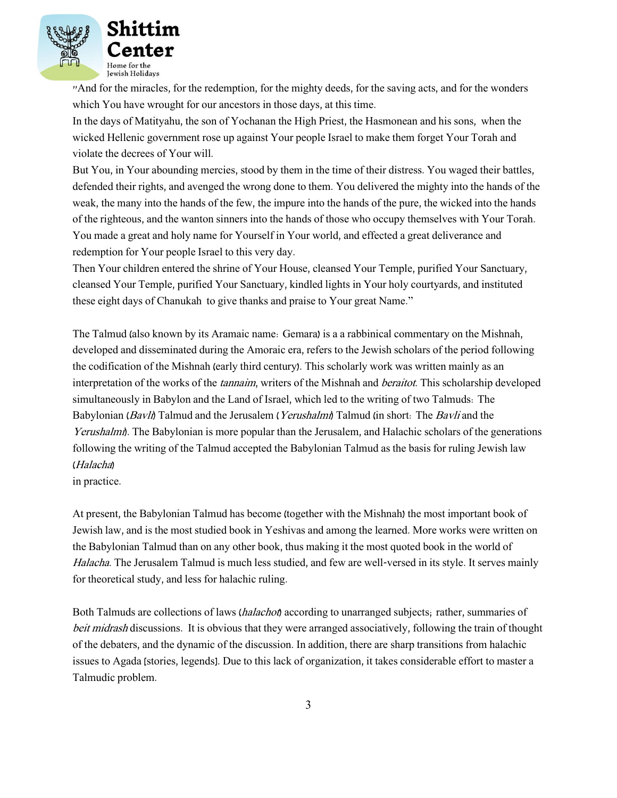

"And for the miracles, for the redemption, for the mighty deeds, for the saving acts, and for the wonders which You have wrought for our ancestors in those days, at this time.

In the days of Matityahu, the son of Yochanan the High Priest, the Hasmonean and his sons, when the wicked Hellenic government rose up against Your people Israel to make them forget Your Torah and violate the decrees of Your will.

But You, in Your abounding mercies, stood by them in the time of their distress. You waged their battles, defended their rights, and avenged the wrong done to them. You delivered the mighty into the hands of the weak, the many into the hands of the few, the impure into the hands of the pure, the wicked into the hands of the righteous, and the wanton sinners into the hands of those who occupy themselves with Your Torah. You made a great and holy name for Yourself in Your world, and effected a great deliverance and redemption for Your people Israel to this very day.

Then Your children entered the shrine of Your House, cleansed Your Temple, purified Your Sanctuary, cleansed Your Temple, purified Your Sanctuary, kindled lights in Your holy courtyards, and instituted these eight days of Chanukah to give thanks and praise to Your great Name."

The Talmud (also known by its Aramaic name: Gemara) is a a rabbinical commentary on the Mishnah, developed and disseminated during the Amoraic era, refers to the Jewish scholars of the period following the codification of the Mishnah (early third century). This scholarly work was written mainly as an interpretation of the works of the *tannaim*, writers of the Mishnah and *beraitot*. This scholarship developed simultaneously in Babylon and the Land of Israel, which led to the writing of two Talmuds: The Babylonian (Bavli) Talmud and the Jerusalem (Yerushalmi) Talmud (in short: The Bavli and the Yerushalmi). The Babylonian is more popular than the Jerusalem, and Halachic scholars of the generations following the writing of the Talmud accepted the Babylonian Talmud as the basis for ruling Jewish law (Halacha)

in practice.

At present, the Babylonian Talmud has become (together with the Mishnah) the most important book of Jewish law, and is the most studied book in Yeshivas and among the learned. More works were written on the Babylonian Talmud than on any other book, thus making it the most quoted book in the world of Halacha. The Jerusalem Talmud is much less studied, and few are well-versed in its style. It serves mainly for theoretical study, and less for halachic ruling.

Both Talmuds are collections of laws (halachot) according to unarranged subjects; rather, summaries of beit midrash discussions. It is obvious that they were arranged associatively, following the train of thought of the debaters, and the dynamic of the discussion. In addition, there are sharp transitions from halachic issues to Agada [stories, legends]. Due to this lack of organization, it takes considerable effort to master a Talmudic problem.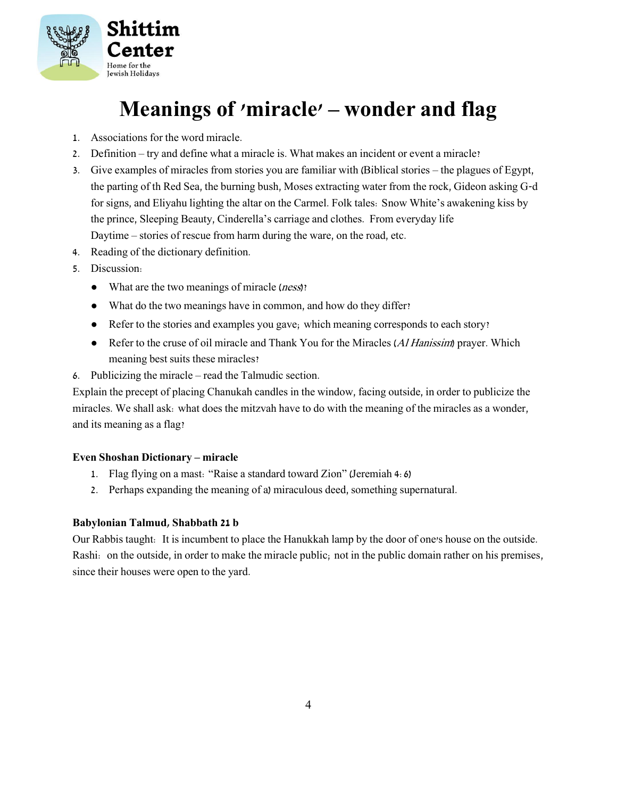

# **Meanings of 'miracle' – wonder and flag**

- 1. Associations for the word miracle.
- 2. Definition try and define what a miracle is. What makes an incident or event a miracle?
- 3. Give examples of miracles from stories you are familiar with (Biblical stories the plagues of Egypt, the parting of th Red Sea, the burning bush, Moses extracting water from the rock, Gideon asking G-d for signs, and Eliyahu lighting the altar on the Carmel. Folk tales: Snow White's awakening kiss by the prince, Sleeping Beauty, Cinderella's carriage and clothes. From everyday life Daytime – stories of rescue from harm during the ware, on the road, etc.
- 4. Reading of the dictionary definition.
- 5. Discussion:
	- What are the two meanings of miracle (*ness*)?
	- What do the two meanings have in common, and how do they differ?
	- Refer to the stories and examples you gave; which meaning corresponds to each story?
	- Refer to the cruse of oil miracle and Thank You for the Miracles (Al Hanissim) prayer. Which meaning best suits these miracles?
- 6. Publicizing the miracle read the Talmudic section.

Explain the precept of placing Chanukah candles in the window, facing outside, in order to publicize the miracles. We shall ask: what does the mitzvah have to do with the meaning of the miracles as a wonder, and its meaning as a flag?

#### **Even Shoshan Dictionary – miracle**

- 1. Flag flying on a mast: "Raise a standard toward Zion" (Jeremiah 4:6)
- 2. Perhaps expanding the meaning of a) miraculous deed, something supernatural.

#### **Babylonian Talmud, Shabbath 21 b**

Our Rabbis taught: It is incumbent to place the Hanukkah lamp by the door of one's house on the outside. Rashi: on the outside, in order to make the miracle public; not in the public domain rather on his premises, since their houses were open to the yard.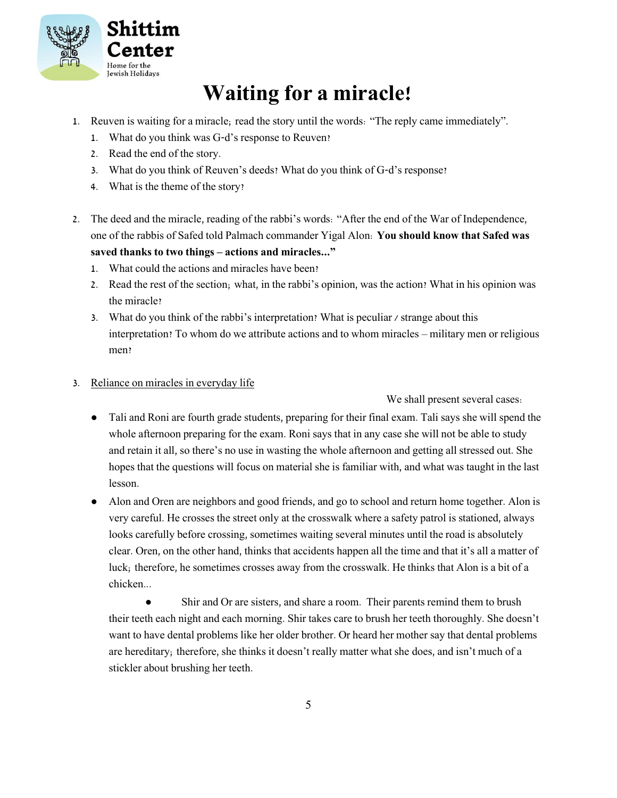

# **Waiting for a miracle!**

- 1. Reuven is waiting for a miracle; read the story until the words: "The reply came immediately".
	- 1. What do you think was G-d's response to Reuven?
	- 2. Read the end of the story.
	- 3. What do you think of Reuven's deeds? What do you think of G-d's response?
	- 4. What is the theme of the story?
- 2. The deed and the miracle, reading of the rabbi's words: "After the end of the War of Independence, one of the rabbis of Safed told Palmach commander Yigal Alon: **You should know that Safed was saved thanks to two things – actions and miracles..."**
	- 1. What could the actions and miracles have been?
	- 2. Read the rest of the section; what, in the rabbi's opinion, was the action? What in his opinion was the miracle?
	- 3. What do you think of the rabbi's interpretation? What is peculiar / strange about this interpretation? To whom do we attribute actions and to whom miracles – military men or religious men?
- 3. Reliance on miracles in everyday life

We shall present several cases:

- Tali and Roni are fourth grade students, preparing for their final exam. Tali says she will spend the whole afternoon preparing for the exam. Roni says that in any case she will not be able to study and retain it all, so there's no use in wasting the whole afternoon and getting all stressed out. She hopes that the questions will focus on material she is familiar with, and what was taught in the last lesson.
- Alon and Oren are neighbors and good friends, and go to school and return home together. Alon is very careful. He crosses the street only at the crosswalk where a safety patrol is stationed, always looks carefully before crossing, sometimes waiting several minutes until the road is absolutely clear. Oren, on the other hand, thinks that accidents happen all the time and that it's all a matter of luck; therefore, he sometimes crosses away from the crosswalk. He thinks that Alon is a bit of a chicken...

• Shir and Or are sisters, and share a room. Their parents remind them to brush their teeth each night and each morning. Shir takes care to brush her teeth thoroughly. She doesn't want to have dental problems like her older brother. Or heard her mother say that dental problems are hereditary; therefore, she thinks it doesn't really matter what she does, and isn't much of a stickler about brushing her teeth.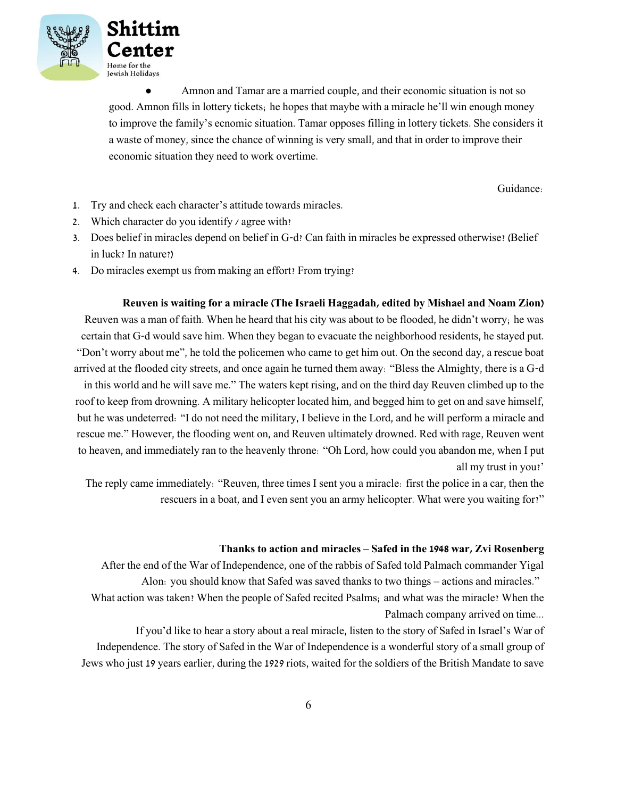



● Amnon and Tamar are a married couple, and their economic situation is not so good. Amnon fills in lottery tickets; he hopes that maybe with a miracle he'll win enough money to improve the family's ecnomic situation. Tamar opposes filling in lottery tickets. She considers it a waste of money, since the chance of winning is very small, and that in order to improve their economic situation they need to work overtime.

Guidance:

- 1. Try and check each character's attitude towards miracles.
- 2. Which character do you identify / agree with?
- 3. Does belief in miracles depend on belief in G-d? Can faith in miracles be expressed otherwise? (Belief in luck? In nature?)
- 4. Do miracles exempt us from making an effort? From trying?

**Reuven is waiting for a miracle (The Israeli Haggadah, edited by Mishael and Noam Zion)**

Reuven was a man of faith. When he heard that his city was about to be flooded, he didn't worry; he was certain that G-d would save him. When they began to evacuate the neighborhood residents, he stayed put. "Don't worry about me", he told the policemen who came to get him out. On the second day, a rescue boat arrived at the flooded city streets, and once again he turned them away: "Bless the Almighty, there is a G-d in this world and he will save me." The waters kept rising, and on the third day Reuven climbed up to the roof to keep from drowning. A military helicopter located him, and begged him to get on and save himself, but he was undeterred: "I do not need the military, I believe in the Lord, and he will perform a miracle and

rescue me." However, the flooding went on, and Reuven ultimately drowned. Red with rage, Reuven went to heaven, and immediately ran to the heavenly throne: "Oh Lord, how could you abandon me, when I put all my trust in you?'

The reply came immediately: "Reuven, three times I sent you a miracle: first the police in a car, then the rescuers in a boat, and I even sent you an army helicopter. What were you waiting for?"

### **Thanks to action and miracles – Safed in the 1948 war, Zvi Rosenberg**

After the end of the War of Independence, one of the rabbis of Safed told Palmach commander Yigal Alon: you should know that Safed was saved thanks to two things – actions and miracles."

What action was taken? When the people of Safed recited Psalms; and what was the miracle? When the Palmach company arrived on time...

If you'd like to hear a story about a real miracle, listen to the story of Safed in Israel's War of Independence. The story of Safed in the War of Independence is a wonderful story of a small group of Jews who just 19 years earlier, during the 1929 riots, waited for the soldiers of the British Mandate to save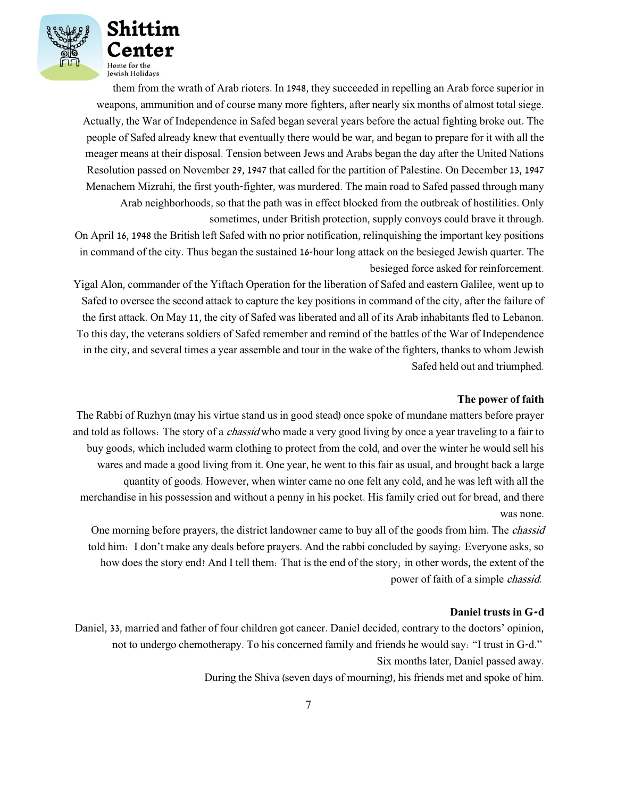

them from the wrath of Arab rioters. In 1948, they succeeded in repelling an Arab force superior in weapons, ammunition and of course many more fighters, after nearly six months of almost total siege. Actually, the War of Independence in Safed began several years before the actual fighting broke out. The people of Safed already knew that eventually there would be war, and began to prepare for it with all the meager means at their disposal. Tension between Jews and Arabs began the day after the United Nations Resolution passed on November 29, 1947 that called for the partition of Palestine. On December 13, 1947 Menachem Mizrahi, the first youth-fighter, was murdered. The main road to Safed passed through many Arab neighborhoods, so that the path was in effect blocked from the outbreak of hostilities. Only sometimes, under British protection, supply convoys could brave it through.

On April 16, 1948 the British left Safed with no prior notification, relinquishing the important key positions in command of the city. Thus began the sustained 16-hour long attack on the besieged Jewish quarter. The besieged force asked for reinforcement.

Yigal Alon, commander of the Yiftach Operation for the liberation of Safed and eastern Galilee, went up to Safed to oversee the second attack to capture the key positions in command of the city, after the failure of the first attack. On May 11, the city of Safed was liberated and all of its Arab inhabitants fled to Lebanon. To this day, the veterans soldiers of Safed remember and remind of the battles of the War of Independence in the city, and several times a year assemble and tour in the wake of the fighters, thanks to whom Jewish Safed held out and triumphed.

#### **The power of faith**

The Rabbi of Ruzhyn (may his virtue stand us in good stead) once spoke of mundane matters before prayer and told as follows: The story of a *chassid* who made a very good living by once a year traveling to a fair to buy goods, which included warm clothing to protect from the cold, and over the winter he would sell his wares and made a good living from it. One year, he went to this fair as usual, and brought back a large quantity of goods. However, when winter came no one felt any cold, and he was left with all the merchandise in his possession and without a penny in his pocket. His family cried out for bread, and there was none.

One morning before prayers, the district landowner came to buy all of the goods from him. The chassid told him: I don't make any deals before prayers. And the rabbi concluded by saying: Everyone asks, so how does the story end? And I tell them: That is the end of the story; in other words, the extent of the power of faith of a simple chassid.

#### **Daniel trusts in G-d**

Daniel, 33, married and father of four children got cancer. Daniel decided, contrary to the doctors' opinion, not to undergo chemotherapy. To his concerned family and friends he would say: "I trust in G-d." Six months later, Daniel passed away.

During the Shiva (seven days of mourning), his friends met and spoke of him.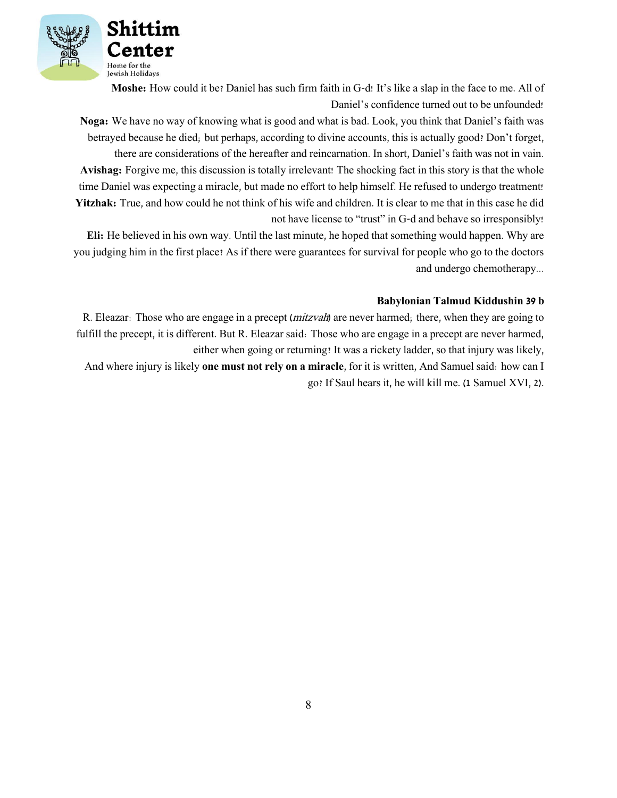

**Moshe:** How could it be? Daniel has such firm faith in G-d! It's like a slap in the face to me. All of Daniel's confidence turned out to be unfounded!

**Noga:** We have no way of knowing what is good and what is bad. Look, you think that Daniel's faith was betrayed because he died; but perhaps, according to divine accounts, this is actually good? Don't forget, there are considerations of the hereafter and reincarnation. In short, Daniel's faith was not in vain. **Avishag:** Forgive me, this discussion is totally irrelevant! The shocking fact in this story is that the whole time Daniel was expecting a miracle, but made no effort to help himself. He refused to undergo treatment! **Yitzhak:** True, and how could he not think of his wife and children. It is clear to me that in this case he did not have license to "trust" in G-d and behave so irresponsibly!

**Eli:** He believed in his own way. Until the last minute, he hoped that something would happen. Why are you judging him in the first place? As if there were guarantees for survival for people who go to the doctors and undergo chemotherapy...

#### **Babylonian Talmud Kiddushin 39 b**

R. Eleazar: Those who are engage in a precept (*mitzvah*) are never harmed; there, when they are going to fulfill the precept, it is different. But R. Eleazar said: Those who are engage in a precept are never harmed, either when going or returning? It was a rickety ladder, so that injury was likely,

And where injury is likely **one must not rely on a miracle**, for it is written, And Samuel said: how can I go? If Saul hears it, he will kill me. (1 Samuel XVI, 2).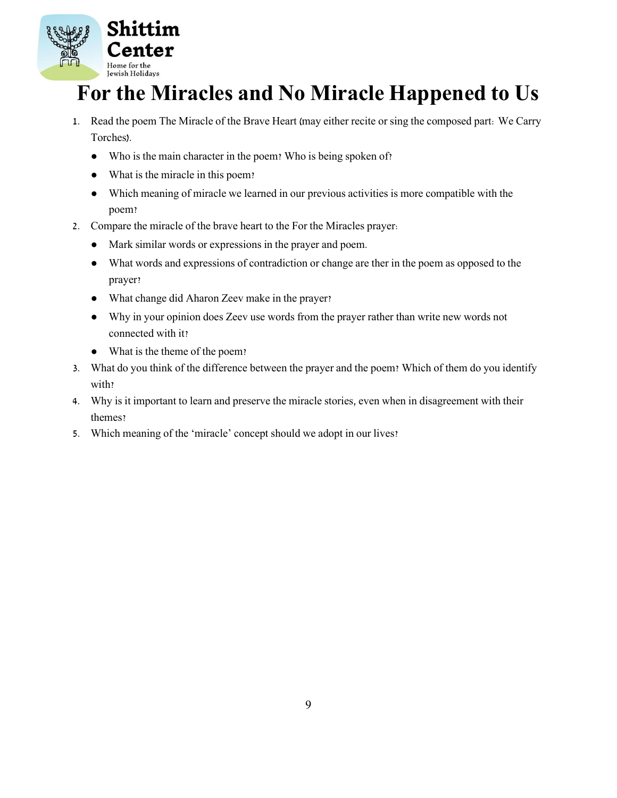

# **For the Miracles and No Miracle Happened to Us**

- 1. Read the poem The Miracle of the Brave Heart (may either recite or sing the composed part: We Carry Torches).
	- Who is the main character in the poem? Who is being spoken of?
	- What is the miracle in this poem?
	- Which meaning of miracle we learned in our previous activities is more compatible with the poem?
- 2. Compare the miracle of the brave heart to the For the Miracles prayer:
	- Mark similar words or expressions in the prayer and poem.
	- What words and expressions of contradiction or change are ther in the poem as opposed to the prayer?
	- What change did Aharon Zeev make in the prayer?
	- Why in your opinion does Zeev use words from the prayer rather than write new words not connected with it?
	- What is the theme of the poem?
- 3. What do you think of the difference between the prayer and the poem? Which of them do you identify with?
- 4. Why is it important to learn and preserve the miracle stories, even when in disagreement with their themes?
- 5. Which meaning of the 'miracle' concept should we adopt in our lives?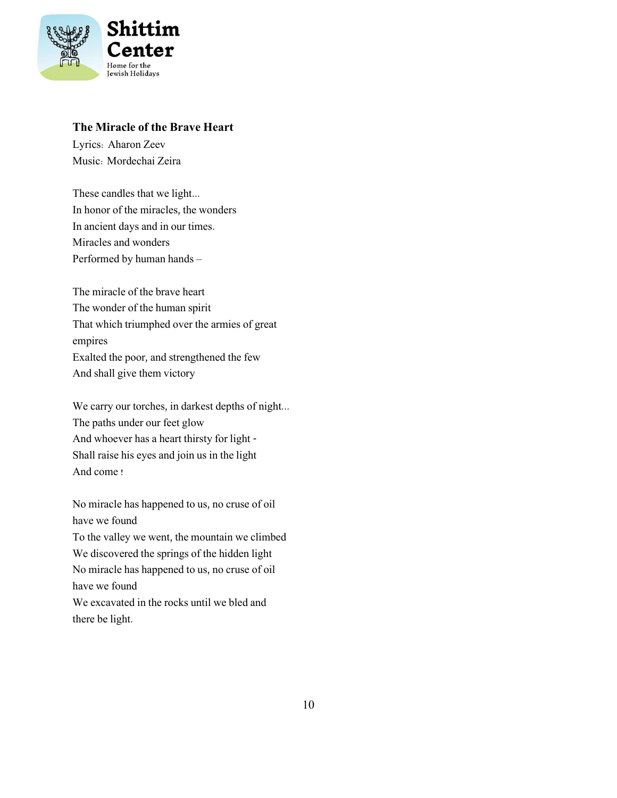

### **The Miracle of the Brave Heart**

Lyrics: Aharon Zeev Music: Mordechai Zeira

These candles that we light... In honor of the miracles, the wonders In ancient days and in our times. Miracles and wonders Performed by human hands –

The miracle of the brave heart The wonder of the human spirit That which triumphed over the armies of great empires Exalted the poor, and strengthened the few And shall give them victory

We carry our torches, in darkest depths of night... The paths under our feet glow And whoever has a heart thirsty for light - Shall raise his eyes and join us in the light And come !

No miracle has happened to us, no cruse of oil have we found To the valley we went, the mountain we climbed We discovered the springs of the hidden light No miracle has happened to us, no cruse of oil have we found We excavated in the rocks until we bled and there be light.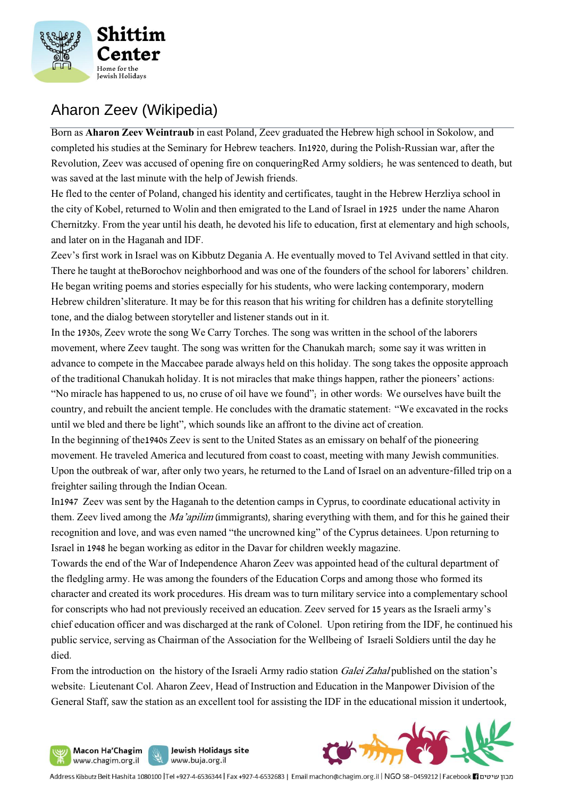

### Aharon Zeev (Wikipedia)

Born as **Aharon Zeev Weintraub** in east Poland, Zeev graduated the Hebrew high school in Sokolow, and completed his studies at the [Seminary](https://he.wikipedia.org/w/index.php?title=בית_מדרש_למורים&action=edit&redlink=1) [for](https://he.wikipedia.org/w/index.php?title=בית_מדרש_למורים&action=edit&redlink=1) [Hebrew](https://he.wikipedia.org/w/index.php?title=בית_מדרש_למורים&action=edit&redlink=1) teachers. In1920, during [the](https://he.wikipedia.org/wiki/המלחמה_הפולנית-סובייטית) [Polish-Russian](https://he.wikipedia.org/wiki/המלחמה_הפולנית-סובייטית) war, after the Revolution, Zeev was accused of opening fire on conquerin[gRed](https://he.wikipedia.org/wiki/הצבא_האדום) [Army](https://he.wikipedia.org/wiki/הצבא_האדום) soldiers; he was [sentenced](https://he.wikipedia.org/wiki/גזר_דין_מוות) [to death,](https://he.wikipedia.org/wiki/גזר_דין_מוות) but was saved at the last minute with the help of Jewish friends.

He fled to the center of [Poland,](https://he.wikipedia.org/wiki/הרפובליקה_הפולנית_השנייה) changed his identity and certificates, taught in the Hebrew Herzliya school in the city of [Kobel,](https://he.wikipedia.org/wiki/קובל) returned to [Wolin](https://he.wikipedia.org/wiki/ווהלין) and [then emigrated](https://he.wikipedia.org/wiki/העלייה_הרביעית) [to the](https://he.wikipedia.org/wiki/העלייה_הרביעית) [Land of Israel](https://he.wikipedia.org/wiki/העלייה_הרביעית) in 1925 under the name Aharon Chernitzky. From the year until his death, he devoted his life to [education,](https://he.wikipedia.org/wiki/חינוך) first at elementary and high schools, and later on in th[e Haganah](https://he.wikipedia.org/wiki/ההגנה) and IDF.

Zeev's first work in Israel was on Kibbutz Degania A. He eventually moved to [Tel](https://he.wikipedia.org/wiki/תל_אביב) [Aviva](https://he.wikipedia.org/wiki/תל_אביב)nd settled in that city. There he taught at th[eBorochov](https://he.wikipedia.org/wiki/שכונת_בורוכוב) [neighborhood](https://he.wikipedia.org/wiki/שכונת_בורוכוב) and was one of the founders of [the](https://he.wikipedia.org/wiki/בית_החינוך_ע%22ש_א%22ד_גורדון) [school for](https://he.wikipedia.org/wiki/בית_החינוך_ע%22ש_א%22ד_גורדון) [laborers'](https://he.wikipedia.org/wiki/בית_החינוך_ע%22ש_א%22ד_גורדון) [children.](https://he.wikipedia.org/wiki/בית_החינוך_ע%22ש_א%22ד_גורדון) He began writing poems and stories especially for his students, who were lacking contemporary, modern Hebrew [children's](https://he.wikipedia.org/wiki/ספרות_ילדים)[literature.](https://he.wikipedia.org/wiki/ספרות_ילדים) It may be for this reason that his writing for children has a definite storytelling tone, and the dialog between storyteller and listener stands out in it.

In [the](https://he.wikipedia.org/wiki/שנות_ה-30_של_המאה_ה-20) [1930s,](https://he.wikipedia.org/wiki/שנות_ה-30_של_המאה_ה-20) Zeev wrote the song We Carry Torches. The song was written in the school of the laborers movement, where Zeev taught. The song was written for the [Chanukah](https://he.wikipedia.org/wiki/חנוכה) march; some say it was written in advance to compete in the [Maccabee](https://he.wikipedia.org/wiki/מכבי_(ספורט)) parade always held on this holiday. The song takes the opposite approach of the traditional Chanukah holiday. It is no[t miracles](https://he.wikipedia.org/wiki/נס) that make things happen, rather the pioneers' actions: "No miracle has happened to us, no cruse of oil have we found"; in other words: We ourselves have built the country, and rebuilt [the ancient](https://he.wikipedia.org/wiki/בית_המקדש) [temple.](https://he.wikipedia.org/wiki/בית_המקדש) He concludes with the dramatic statement: "We excavated in the rocks until we bled and there be light", which sounds like an affront to the [divine](https://he.wikipedia.org/wiki/בריאת_העולם_(יהדות)) [act of](https://he.wikipedia.org/wiki/בריאת_העולם_(יהדות)) [creation.](https://he.wikipedia.org/wiki/בריאת_העולם_(יהדות))

In the beginning [of](https://he.wikipedia.org/wiki/שנות_ה-40_של_המאה_ה-20) [the1940s](https://he.wikipedia.org/wiki/שנות_ה-40_של_המאה_ה-20) Zeev is sent to th[e United](https://he.wikipedia.org/wiki/ארצות_הברית) [States](https://he.wikipedia.org/wiki/ארצות_הברית) as an emissary on behalf of the pioneering movement. He traveled America and lecutured from coast to coast, meeting with many Jewish communities. Upon the outbreak of war, after only two years, he returned to the Land of Israel on an adventure-filled trip on a freighter sailing through th[e Indian](https://he.wikipedia.org/wiki/האוקיינוס_ההודי) [Ocean.](https://he.wikipedia.org/wiki/האוקיינוס_ההודי)

I[n1947](https://he.wikipedia.org/wiki/1947) Zeev was sent by the Haganah [to](https://he.wikipedia.org/wiki/מחנות_המעצר_בקפריסין) [the detention camps in](https://he.wikipedia.org/wiki/מחנות_המעצר_בקפריסין) [Cyprus,](https://he.wikipedia.org/wiki/מחנות_המעצר_בקפריסין) to coordinate educational activity in them. Zeev lived among the *[Ma'apilim](https://he.wikipedia.org/wiki/מעפילים)* (immigrants), sharing everything with them, and for this he gained their recognition and love, and was even named "the uncrowned king" of the Cyprus detainees. Upon returning to Israel in 1948 he began working as editor in the [Davar](https://he.wikipedia.org/wiki/דבר_לילדים) [for children](https://he.wikipedia.org/wiki/דבר_לילדים) weekly magazine.

Towards the end of the [War of](https://he.wikipedia.org/wiki/מלחמת_העצמאות) [Independence](https://he.wikipedia.org/wiki/מלחמת_העצמאות) Aharon Zeev was appointed head of the cultural department of the fledgling army. He was among the founders of the [Education](https://he.wikipedia.org/wiki/חיל_החינוך) [Corps](https://he.wikipedia.org/wiki/חיל_החינוך) and among those who formed its character and created its work procedures. His dream was to turn military service into a complementary school for conscripts who had not previously received an education. Zeev served for 15 years as the Israeli army's chief education officer and was discharged at the rank of Colonel. Upon retiring from the IDF, he continued his public service, serving as Chairman of the [Association](https://he.wikipedia.org/wiki/האגודה_למען_החייל) [for the Wellbeing of Israeli Soldiers](https://he.wikipedia.org/wiki/האגודה_למען_החייל) until the day he died.

From the introduction on the history of the Israeli Army radio station *[Galei](https://he.wikipedia.org/wiki/גלי_צה%22ל) [Zahal](https://he.wikipedia.org/wiki/גלי_צה%22ל)* published on the station's website: Lieutenant Col. Aharon Zeev, Head of Instruction and Education in the Manpower Division of the General Staff, saw the station as an excellent tool for assisting the IDF in the educational mission it undertook,





Address Kibbutz Beit Hashita 1080100 |Tel +927-4-6536344 | Fax +927-4-6532683 | Email machon@chagim.org.il | NGO 58-0459212 | Facebook | מבון שיטים

Jewish Holidays site

www.buja.org.il